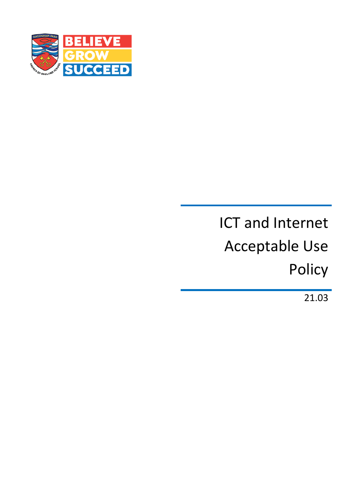

# ICT and Internet Acceptable Use Policy

21.03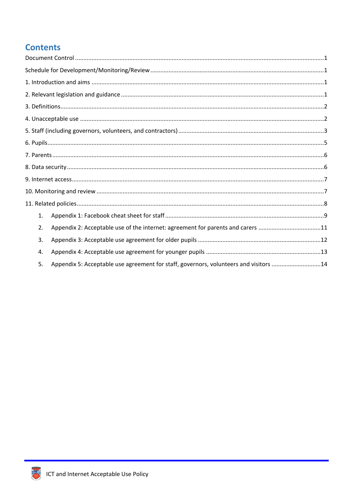# **Contents**

| 1. |                                                                                       |  |
|----|---------------------------------------------------------------------------------------|--|
| 2. | Appendix 2: Acceptable use of the internet: agreement for parents and carers 11       |  |
| 3. |                                                                                       |  |
| 4. |                                                                                       |  |
| 5. | Appendix 5: Acceptable use agreement for staff, governors, volunteers and visitors 14 |  |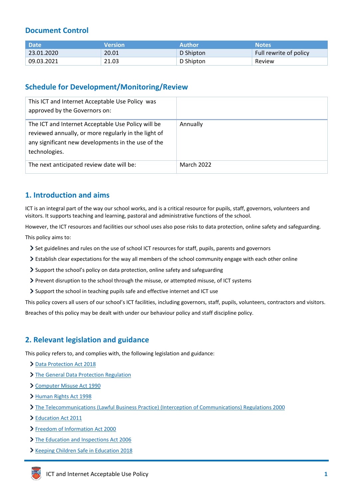# <span id="page-2-0"></span>**Document Control**

| <b>Date</b> | <b>Nersion</b> | <b>Author</b> | <b>Notes</b>           |
|-------------|----------------|---------------|------------------------|
| 23.01.2020  | 20.01          | D Shipton     | Full rewrite of policy |
| 09.03.2021  | 21.03          | D Shipton     | Review                 |

# <span id="page-2-1"></span>**Schedule for Development/Monitoring/Review**

| This ICT and Internet Acceptable Use Policy was<br>approved by the Governors on:                                                                                                  |                   |
|-----------------------------------------------------------------------------------------------------------------------------------------------------------------------------------|-------------------|
| The ICT and Internet Acceptable Use Policy will be<br>reviewed annually, or more regularly in the light of<br>any significant new developments in the use of the<br>technologies. | Annually          |
| The next anticipated review date will be:                                                                                                                                         | <b>March 2022</b> |

# <span id="page-2-2"></span>**1. Introduction and aims**

ICT is an integral part of the way our school works, and is a critical resource for pupils, staff, governors, volunteers and visitors. It supports teaching and learning, pastoral and administrative functions of the school.

However, the ICT resources and facilities our school uses also pose risks to data protection, online safety and safeguarding. This policy aims to:

- Set guidelines and rules on the use of school ICT resources for staff, pupils, parents and governors
- Establish clear expectations for the way all members of the school community engage with each other online
- Support the school's policy on data protection, online safety and safeguarding
- Prevent disruption to the school through the misuse, or attempted misuse, of ICT systems
- Support the school in teaching pupils safe and effective internet and ICT use

This policy covers all users of our school's ICT facilities, including governors, staff, pupils, volunteers, contractors and visitors.

Breaches of this policy may be dealt with under our behaviour policy and staff discipline policy.

# <span id="page-2-3"></span>**2. Relevant legislation and guidance**

This policy refers to, and complies with, the following legislation and guidance:

- [Data Protection Act 2018](http://www.legislation.gov.uk/ukpga/2018/12/contents/enacted)
- > [The General Data Protection Regulation](https://eur-lex.europa.eu/legal-content/EN/TXT/HTML/?uri=CELEX:32016R0679)
- [Computer Misuse Act 1990](https://www.legislation.gov.uk/ukpga/1990/18/contents)
- [Human Rights Act 1998](https://www.legislation.gov.uk/ukpga/1998/42/contents)
- [The Telecommunications \(Lawful Business Practice\) \(Interception of Communications\) Regulations 2000](https://www.legislation.gov.uk/uksi/2000/2699/regulation/3/made)
- [Education Act 2011](http://www.legislation.gov.uk/ukpga/2011/21/section/2/enacted)
- [Freedom of Information Act 2000](https://www.legislation.gov.uk/ukpga/2000/36/contents)
- > [The Education and Inspections Act 2006](https://www.legislation.gov.uk/ukpga/2006/40/part/7/chapter/1)
- **Xeeping Children Safe in Education 2018**

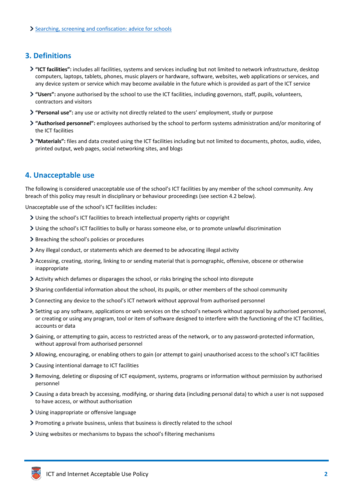# <span id="page-3-0"></span>**3. Definitions**

- **"ICT facilities":** includes all facilities, systems and services including but not limited to network infrastructure, desktop computers, laptops, tablets, phones, music players or hardware, software, websites, web applications or services, and any device system or service which may become available in the future which is provided as part of the ICT service
- **"Users":** anyone authorised by the school to use the ICT facilities, including governors, staff, pupils, volunteers, contractors and visitors
- **"Personal use":** any use or activity not directly related to the users' employment, study or purpose
- **"Authorised personnel":** employees authorised by the school to perform systems administration and/or monitoring of the ICT facilities
- **"Materials":** files and data created using the ICT facilities including but not limited to documents, photos, audio, video, printed output, web pages, social networking sites, and blogs

# <span id="page-3-1"></span>**4. Unacceptable use**

The following is considered unacceptable use of the school's ICT facilities by any member of the school community. Any breach of this policy may result in disciplinary or behaviour proceedings (see section 4.2 below).

Unacceptable use of the school's ICT facilities includes:

- Using the school's ICT facilities to breach intellectual property rights or copyright
- Using the school's ICT facilities to bully or harass someone else, or to promote unlawful discrimination
- Breaching the school's policies or procedures
- Any illegal conduct, or statements which are deemed to be advocating illegal activity
- Accessing, creating, storing, linking to or sending material that is pornographic, offensive, obscene or otherwise inappropriate
- Activity which defames or disparages the school, or risks bringing the school into disrepute
- Sharing confidential information about the school, its pupils, or other members of the school community
- Connecting any device to the school's ICT network without approval from authorised personnel
- Setting up any software, applications or web services on the school's network without approval by authorised personnel, or creating or using any program, tool or item of software designed to interfere with the functioning of the ICT facilities, accounts or data
- Gaining, or attempting to gain, access to restricted areas of the network, or to any password-protected information, without approval from authorised personnel
- Allowing, encouraging, or enabling others to gain (or attempt to gain) unauthorised access to the school's ICT facilities
- Causing intentional damage to ICT facilities
- Removing, deleting or disposing of ICT equipment, systems, programs or information without permission by authorised personnel
- Causing a data breach by accessing, modifying, or sharing data (including personal data) to which a user is not supposed to have access, or without authorisation
- Using inappropriate or offensive language
- Promoting a private business, unless that business is directly related to the school
- Using websites or mechanisms to bypass the school's filtering mechanisms

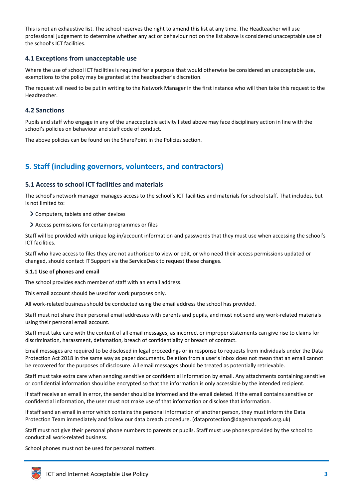This is not an exhaustive list. The school reserves the right to amend this list at any time. The Headteacher will use professional judgement to determine whether any act or behaviour not on the list above is considered unacceptable use of the school's ICT facilities.

## **4.1 Exceptions from unacceptable use**

Where the use of school ICT facilities is required for a purpose that would otherwise be considered an unacceptable use, exemptions to the policy may be granted at the headteacher's discretion.

The request will need to be put in writing to the Network Manager in the first instance who will then take this request to the Headteacher.

#### **4.2 Sanctions**

Pupils and staff who engage in any of the unacceptable activity listed above may face disciplinary action in line with the school's policies on behaviour and staff code of conduct.

The above policies can be found on the SharePoint in the Policies section.

# <span id="page-4-0"></span>**5. Staff (including governors, volunteers, and contractors)**

#### **5.1 Access to school ICT facilities and materials**

The school's network manager manages access to the school's ICT facilities and materials for school staff. That includes, but is not limited to:

- Computers, tablets and other devices
- Access permissions for certain programmes or files

Staff will be provided with unique log-in/account information and passwords that they must use when accessing the school's ICT facilities.

Staff who have access to files they are not authorised to view or edit, or who need their access permissions updated or changed, should contact IT Support via the ServiceDesk to request these changes.

#### **5.1.1 Use of phones and email**

The school provides each member of staff with an email address.

This email account should be used for work purposes only.

All work-related business should be conducted using the email address the school has provided.

Staff must not share their personal email addresses with parents and pupils, and must not send any work-related materials using their personal email account.

Staff must take care with the content of all email messages, as incorrect or improper statements can give rise to claims for discrimination, harassment, defamation, breach of confidentiality or breach of contract.

Email messages are required to be disclosed in legal proceedings or in response to requests from individuals under the Data Protection Act 2018 in the same way as paper documents. Deletion from a user's inbox does not mean that an email cannot be recovered for the purposes of disclosure. All email messages should be treated as potentially retrievable.

Staff must take extra care when sending sensitive or confidential information by email. Any attachments containing sensitive or confidential information should be encrypted so that the information is only accessible by the intended recipient.

If staff receive an email in error, the sender should be informed and the email deleted. If the email contains sensitive or confidential information, the user must not make use of that information or disclose that information.

If staff send an email in error which contains the personal information of another person, they must inform the Data Protection Team immediately and follow our data breach procedure. (dataprotection@dagenhampark.org.uk)

Staff must not give their personal phone numbers to parents or pupils. Staff must use phones provided by the school to conduct all work-related business.

School phones must not be used for personal matters.

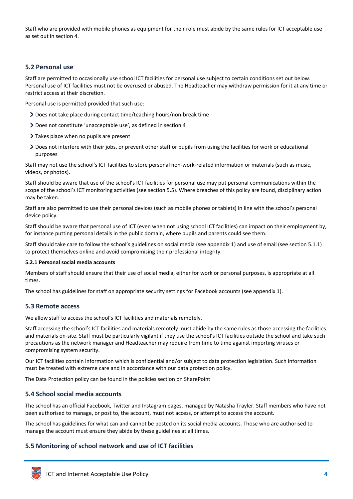Staff who are provided with mobile phones as equipment for their role must abide by the same rules for ICT acceptable use as set out in section 4.

## **5.2 Personal use**

Staff are permitted to occasionally use school ICT facilities for personal use subject to certain conditions set out below. Personal use of ICT facilities must not be overused or abused. The Headteacher may withdraw permission for it at any time or restrict access at their discretion.

Personal use is permitted provided that such use:

- Does not take place during contact time/teaching hours/non-break time
- Does not constitute 'unacceptable use', as defined in section 4
- > Takes place when no pupils are present
- Does not interfere with their jobs, or prevent other staff or pupils from using the facilities for work or educational purposes

Staff may not use the school's ICT facilities to store personal non-work-related information or materials (such as music, videos, or photos).

Staff should be aware that use of the school's ICT facilities for personal use may put personal communications within the scope of the school's ICT monitoring activities (see section 5.5). Where breaches of this policy are found, disciplinary action may be taken.

Staff are also permitted to use their personal devices (such as mobile phones or tablets) in line with the school's personal device policy.

Staff should be aware that personal use of ICT (even when not using school ICT facilities) can impact on their employment by, for instance putting personal details in the public domain, where pupils and parents could see them.

Staff should take care to follow the school's guidelines on social media (see appendix 1) and use of email (see section 5.1.1) to protect themselves online and avoid compromising their professional integrity.

#### **5.2.1 Personal social media accounts**

Members of staff should ensure that their use of social media, either for work or personal purposes, is appropriate at all times.

The school has guidelines for staff on appropriate security settings for Facebook accounts (see appendix 1).

## **5.3 Remote access**

We allow staff to access the school's ICT facilities and materials remotely.

Staff accessing the school's ICT facilities and materials remotely must abide by the same rules as those accessing the facilities and materials on-site. Staff must be particularly vigilant if they use the school's ICT facilities outside the school and take such precautions as the network manager and Headteacher may require from time to time against importing viruses or compromising system security.

Our ICT facilities contain information which is confidential and/or subject to data protection legislation. Such information must be treated with extreme care and in accordance with our data protection policy.

The Data Protection policy can be found in the policies section on SharePoint

#### **5.4 School social media accounts**

The school has an official Facebook, Twitter and Instagram pages, managed by Natasha Trayler. Staff members who have not been authorised to manage, or post to, the account, must not access, or attempt to access the account.

The school has guidelines for what can and cannot be posted on its social media accounts. Those who are authorised to manage the account must ensure they abide by these guidelines at all times.

## **5.5 Monitoring of school network and use of ICT facilities**

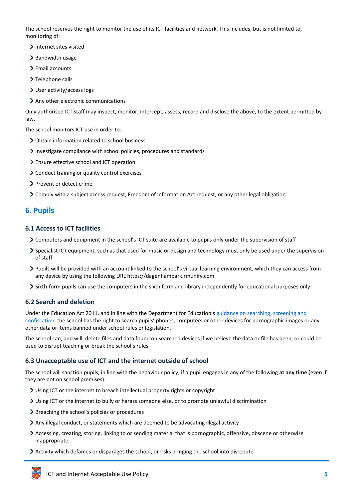The school reserves the right to monitor the use of its ICT facilities and network. This includes, but is not limited to, monitoring of:

- > Internet sites visited
- > Bandwidth usage
- > Email accounts
- > Telephone calls
- User activity/access logs
- Any other electronic communications

Only authorised ICT staff may inspect, monitor, intercept, assess, record and disclose the above, to the extent permitted by law.

The school monitors ICT use in order to:

- Obtain information related to school business
- Investigate compliance with school policies, procedures and standards
- Ensure effective school and ICT operation
- Conduct training or quality control exercises
- > Prevent or detect crime
- Comply with a subject access request, Freedom of Information Act request, or any other legal obligation

# <span id="page-6-0"></span>**6. Pupils**

#### **6.1 Access to ICT facilities**

- Computers and equipment in the school's ICT suite are available to pupils only under the supervision of staff
- $\geq$  Specialist ICT equipment, such as that used for music or design and technology must only be used under the supervision of staff
- Pupils will be provided with an account linked to the school's virtual learning environment, which they can access from any device by using the following URL https://dagenhampark.rmunify.com
- Sixth-form pupils can use the computers in the sixth form and library independently for educational purposes only

## **6.2 Search and deletion**

Under the Education Act 2011, and in line with the Department for Education's [guidance on searching, screening and](https://www.gov.uk/government/publications/searching-screening-and-confiscation)  [confiscation](https://www.gov.uk/government/publications/searching-screening-and-confiscation), the school has the right to search pupils' phones, computers or other devices for pornographic images or any other data or items banned under school rules or legislation.

The school can, and will, delete files and data found on searched devices if we believe the data or file has been, or could be, used to disrupt teaching or break the school's rules.

## **6.3 Unacceptable use of ICT and the internet outside of school**

The school will sanction pupils, in line with the behaviour policy, if a pupil engages in any of the following **at any time** (even if they are not on school premises):

- Using ICT or the internet to breach intellectual property rights or copyright
- Using ICT or the internet to bully or harass someone else, or to promote unlawful discrimination
- > Breaching the school's policies or procedures
- Any illegal conduct, or statements which are deemed to be advocating illegal activity
- Accessing, creating, storing, linking to or sending material that is pornographic, offensive, obscene or otherwise inappropriate
- Activity which defames or disparages the school, or risks bringing the school into disrepute

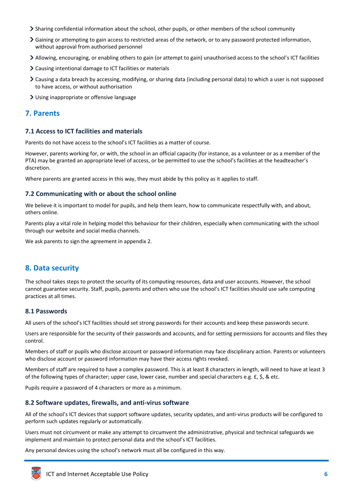- Sharing confidential information about the school, other pupils, or other members of the school community
- Gaining or attempting to gain access to restricted areas of the network, or to any password protected information, without approval from authorised personnel
- Allowing, encouraging, or enabling others to gain (or attempt to gain) unauthorised access to the school's ICT facilities
- Causing intentional damage to ICT facilities or materials
- Causing a data breach by accessing, modifying, or sharing data (including personal data) to which a user is not supposed to have access, or without authorisation
- Using inappropriate or offensive language

# <span id="page-7-0"></span>**7. Parents**

## **7.1 Access to ICT facilities and materials**

Parents do not have access to the school's ICT facilities as a matter of course.

However, parents working for, or with, the school in an official capacity (for instance, as a volunteer or as a member of the PTA) may be granted an appropriate level of access, or be permitted to use the school's facilities at the headteacher's discretion.

Where parents are granted access in this way, they must abide by this policy as it applies to staff.

#### **7.2 Communicating with or about the school online**

We believe it is important to model for pupils, and help them learn, how to communicate respectfully with, and about, others online.

Parents play a vital role in helping model this behaviour for their children, especially when communicating with the school through our website and social media channels.

We ask parents to sign the agreement in appendix 2.

# <span id="page-7-1"></span>**8. Data security**

The school takes steps to protect the security of its computing resources, data and user accounts. However, the school cannot guarantee security. Staff, pupils, parents and others who use the school's ICT facilities should use safe computing practices at all times.

#### **8.1 Passwords**

All users of the school's ICT facilities should set strong passwords for their accounts and keep these passwords secure.

Users are responsible for the security of their passwords and accounts, and for setting permissions for accounts and files they control.

Members of staff or pupils who disclose account or password information may face disciplinary action. Parents or volunteers who disclose account or password information may have their access rights revoked.

Members of staff are required to have a complex password. This is at least 8 characters in length, will need to have at least 3 of the following types of character; upper case, lower case, number and special characters e.g. £, \$, & etc.

Pupils require a password of 4 characters or more as a minimum.

## **8.2 Software updates, firewalls, and anti-virus software**

All of the school's ICT devices that support software updates, security updates, and anti-virus products will be configured to perform such updates regularly or automatically.

Users must not circumvent or make any attempt to circumvent the administrative, physical and technical safeguards we implement and maintain to protect personal data and the school's ICT facilities.

Any personal devices using the school's network must all be configured in this way.

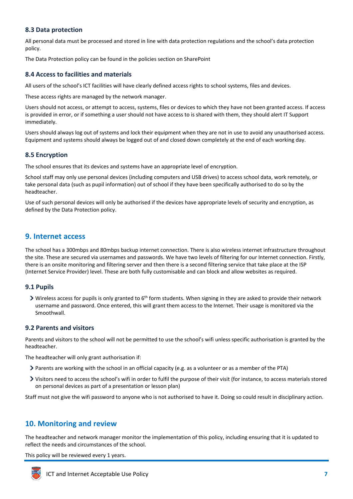## **8.3 Data protection**

All personal data must be processed and stored in line with data protection regulations and the school's data protection policy.

The Data Protection policy can be found in the policies section on SharePoint

## **8.4 Access to facilities and materials**

All users of the school's ICT facilities will have clearly defined access rights to school systems, files and devices.

These access rights are managed by the network manager.

Users should not access, or attempt to access, systems, files or devices to which they have not been granted access. If access is provided in error, or if something a user should not have access to is shared with them, they should alert IT Support immediately.

Users should always log out of systems and lock their equipment when they are not in use to avoid any unauthorised access. Equipment and systems should always be logged out of and closed down completely at the end of each working day.

## **8.5 Encryption**

The school ensures that its devices and systems have an appropriate level of encryption.

School staff may only use personal devices (including computers and USB drives) to access school data, work remotely, or take personal data (such as pupil information) out of school if they have been specifically authorised to do so by the headteacher.

Use of such personal devices will only be authorised if the devices have appropriate levels of security and encryption, as defined by the Data Protection policy.

# <span id="page-8-0"></span>**9. Internet access**

The school has a 300mbps and 80mbps backup internet connection. There is also wireless internet infrastructure throughout the site. These are secured via usernames and passwords. We have two levels of filtering for our Internet connection. Firstly, there is an onsite monitoring and filtering server and then there is a second filtering service that take place at the ISP (Internet Service Provider) level. These are both fully customisable and can block and allow websites as required.

#### **9.1 Pupils**

 $\triangleright$  Wireless access for pupils is only granted to 6<sup>th</sup> form students. When signing in they are asked to provide their network username and password. Once entered, this will grant them access to the Internet. Their usage is monitored via the Smoothwall.

#### **9.2 Parents and visitors**

Parents and visitors to the school will not be permitted to use the school's wifi unless specific authorisation is granted by the headteacher.

The headteacher will only grant authorisation if:

- Parents are working with the school in an official capacity (e.g. as a volunteer or as a member of the PTA)
- Visitors need to access the school's wifi in order to fulfil the purpose of their visit (for instance, to access materials stored on personal devices as part of a presentation or lesson plan)

Staff must not give the wifi password to anyone who is not authorised to have it. Doing so could result in disciplinary action.

# <span id="page-8-1"></span>**10. Monitoring and review**

The headteacher and network manager monitor the implementation of this policy, including ensuring that it is updated to reflect the needs and circumstances of the school.

This policy will be reviewed every 1 years.

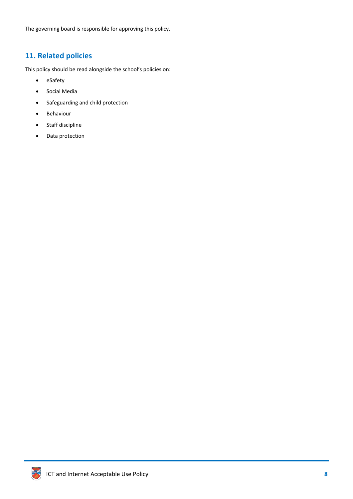The governing board is responsible for approving this policy.

# <span id="page-9-0"></span>**11. Related policies**

This policy should be read alongside the school's policies on:

- eSafety
- Social Media
- Safeguarding and child protection
- Behaviour
- Staff discipline
- Data protection

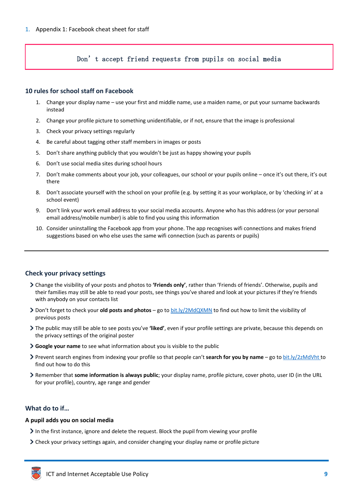## <span id="page-10-0"></span>Don't accept friend requests from pupils on social media

#### **10 rules for school staff on Facebook**

- 1. Change your display name use your first and middle name, use a maiden name, or put your surname backwards instead
- 2. Change your profile picture to something unidentifiable, or if not, ensure that the image is professional
- 3. Check your privacy settings regularly
- 4. Be careful about tagging other staff members in images or posts
- 5. Don't share anything publicly that you wouldn't be just as happy showing your pupils
- 6. Don't use social media sites during school hours
- 7. Don't make comments about your job, your colleagues, our school or your pupils online once it's out there, it's out there
- 8. Don't associate yourself with the school on your profile (e.g. by setting it as your workplace, or by 'checking in' at a school event)
- 9. Don't link your work email address to your social media accounts. Anyone who has this address (or your personal email address/mobile number) is able to find you using this information
- 10. Consider uninstalling the Facebook app from your phone. The app recognises wifi connections and makes friend suggestions based on who else uses the same wifi connection (such as parents or pupils)

## **Check your privacy settings**

- Change the visibility of your posts and photos to **'Friends only'**, rather than 'Friends of friends'. Otherwise, pupils and their families may still be able to read your posts, see things you've shared and look at your pictures if they're friends with anybody on your contacts list
- Don't forget to check your **old posts and photos** go to [bit.ly/2MdQXMN](https://www.facebook.com/help/iphone-app/236898969688346?helpref=uf_permalink) to find out how to limit the visibility of previous posts
- The public may still be able to see posts you've **'liked'**, even if your profile settings are private, because this depends on the privacy settings of the original poster
- **Google your name** to see what information about you is visible to the public
- Prevent search engines from indexing your profile so that people can't **search for you by name** go t[o bit.ly/2zMdVht t](https://www.facebook.com/help/124518907626945?helpref=faq_content)o find out how to do this
- Remember that **some information is always public**; your display name, profile picture, cover photo, user ID (in the URL for your profile), country, age range and gender

## **What do to if…**

#### **A pupil adds you on social media**

- In the first instance, ignore and delete the request. Block the pupil from viewing your profile
- Check your privacy settings again, and consider changing your display name or profile picture

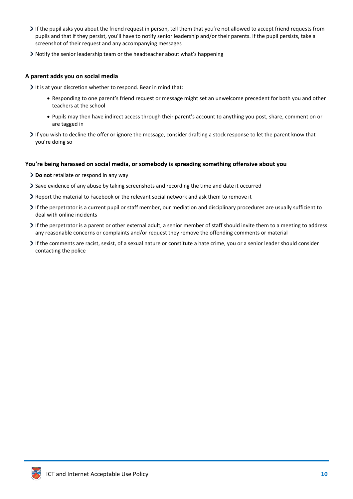- If the pupil asks you about the friend request in person, tell them that you're not allowed to accept friend requests from pupils and that if they persist, you'll have to notify senior leadership and/or their parents. If the pupil persists, take a screenshot of their request and any accompanying messages
- Notify the senior leadership team or the headteacher about what's happening

#### **A parent adds you on social media**

It is at your discretion whether to respond. Bear in mind that:

- Responding to one parent's friend request or message might set an unwelcome precedent for both you and other teachers at the school
- Pupils may then have indirect access through their parent's account to anything you post, share, comment on or are tagged in
- If you wish to decline the offer or ignore the message, consider drafting a stock response to let the parent know that you're doing so

#### **You're being harassed on social media, or somebody is spreading something offensive about you**

- **Do not** retaliate or respond in any way
- Save evidence of any abuse by taking screenshots and recording the time and date it occurred
- Report the material to Facebook or the relevant social network and ask them to remove it
- If the perpetrator is a current pupil or staff member, our mediation and disciplinary procedures are usually sufficient to deal with online incidents
- $\triangleright$  If the perpetrator is a parent or other external adult, a senior member of staff should invite them to a meeting to address any reasonable concerns or complaints and/or request they remove the offending comments or material
- If the comments are racist, sexist, of a sexual nature or constitute a hate crime, you or a senior leader should consider contacting the police

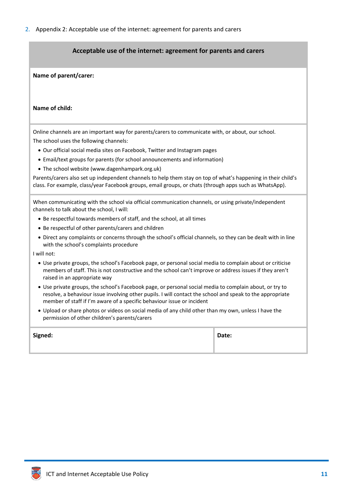<span id="page-12-0"></span>2. Appendix 2: Acceptable use of the internet: agreement for parents and carers

## **Acceptable use of the internet: agreement for parents and carers**

**Name of parent/carer:** 

**Name of child:**

Online channels are an important way for parents/carers to communicate with, or about, our school. The school uses the following channels:

- Our official social media sites on Facebook, Twitter and Instagram pages
- Email/text groups for parents (for school announcements and information)
- The school website (www.dagenhampark.org.uk)

Parents/carers also set up independent channels to help them stay on top of what's happening in their child's class. For example, class/year Facebook groups, email groups, or chats (through apps such as WhatsApp).

When communicating with the school via official communication channels, or using private/independent channels to talk about the school, I will:

- Be respectful towards members of staff, and the school, at all times
- Be respectful of other parents/carers and children
- Direct any complaints or concerns through the school's official channels, so they can be dealt with in line with the school's complaints procedure

I will not:

- Use private groups, the school's Facebook page, or personal social media to complain about or criticise members of staff. This is not constructive and the school can't improve or address issues if they aren't raised in an appropriate way
- Use private groups, the school's Facebook page, or personal social media to complain about, or try to resolve, a behaviour issue involving other pupils. I will contact the school and speak to the appropriate member of staff if I'm aware of a specific behaviour issue or incident
- Upload or share photos or videos on social media of any child other than my own, unless I have the permission of other children's parents/carers

| Signed: | Date: |
|---------|-------|
|         |       |

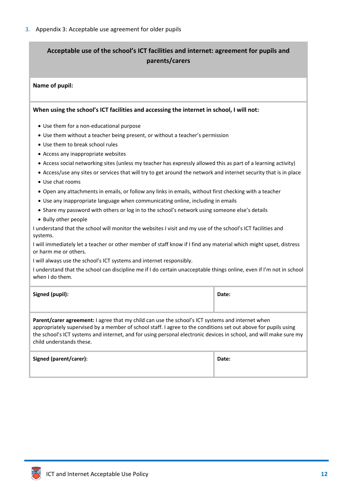# <span id="page-13-0"></span>**Acceptable use of the school's ICT facilities and internet: agreement for pupils and parents/carers**

#### **Name of pupil:**

#### **When using the school's ICT facilities and accessing the internet in school, I will not:**

- Use them for a non-educational purpose
- Use them without a teacher being present, or without a teacher's permission
- Use them to break school rules
- Access any inappropriate websites
- Access social networking sites (unless my teacher has expressly allowed this as part of a learning activity)
- Access/use any sites or services that will try to get around the network and internet security that is in place
- Use chat rooms
- Open any attachments in emails, or follow any links in emails, without first checking with a teacher
- Use any inappropriate language when communicating online, including in emails
- Share my password with others or log in to the school's network using someone else's details
- Bully other people

I understand that the school will monitor the websites I visit and my use of the school's ICT facilities and systems.

I will immediately let a teacher or other member of staff know if I find any material which might upset, distress or harm me or others.

I will always use the school's ICT systems and internet responsibly.

I understand that the school can discipline me if I do certain unacceptable things online, even if I'm not in school when I do them.

| Signed (pupil): | Date: |
|-----------------|-------|
|                 |       |

**Parent/carer agreement:** I agree that my child can use the school's ICT systems and internet when appropriately supervised by a member of school staff. I agree to the conditions set out above for pupils using the school's ICT systems and internet, and for using personal electronic devices in school, and will make sure my child understands these.

| Signed (parent/carer): | Date: |
|------------------------|-------|
|                        |       |

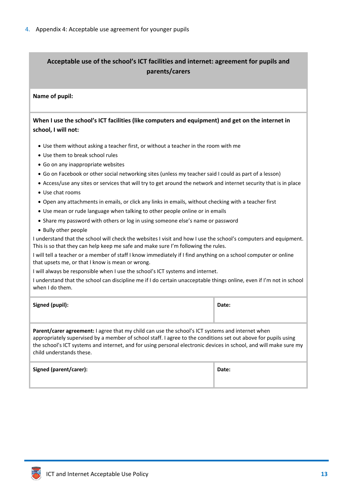# <span id="page-14-0"></span>**Acceptable use of the school's ICT facilities and internet: agreement for pupils and parents/carers**

#### **Name of pupil:**

**When I use the school's ICT facilities (like computers and equipment) and get on the internet in school, I will not:** 

- Use them without asking a teacher first, or without a teacher in the room with me
- Use them to break school rules
- Go on any inappropriate websites
- Go on Facebook or other social networking sites (unless my teacher said I could as part of a lesson)
- Access/use any sites or services that will try to get around the network and internet security that is in place
- Use chat rooms
- Open any attachments in emails, or click any links in emails, without checking with a teacher first
- Use mean or rude language when talking to other people online or in emails
- Share my password with others or log in using someone else's name or password
- Bully other people

I understand that the school will check the websites I visit and how I use the school's computers and equipment. This is so that they can help keep me safe and make sure I'm following the rules.

I will tell a teacher or a member of staff I know immediately if I find anything on a school computer or online that upsets me, or that I know is mean or wrong.

I will always be responsible when I use the school's ICT systems and internet.

I understand that the school can discipline me if I do certain unacceptable things online, even if I'm not in school when I do them.

| Signed (pupil): | Date: |
|-----------------|-------|
|                 |       |

**Parent/carer agreement:** I agree that my child can use the school's ICT systems and internet when appropriately supervised by a member of school staff. I agree to the conditions set out above for pupils using the school's ICT systems and internet, and for using personal electronic devices in school, and will make sure my child understands these.

| Signed (parent/carer): | Date: |
|------------------------|-------|
|                        |       |